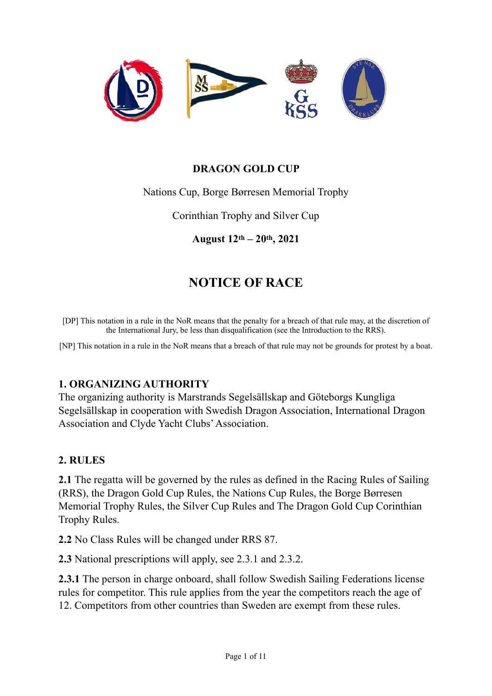

#### **DRAGON GOLD CUP**

Nations Cup, Borge Børresen Memorial Trophy

Corinthian Trophy and Silver Cup

**August 12th – 20th, 2021**

# **NOTICE OF RACE**

[DP] This notation in a rule in the NoR means that the penalty for a breach of that rule may, at the discretion of the International Jury, be less than disqualification (see the Introduction to the RRS).

[NP] This notation in a rule in the NoR means that a breach of that rule may not be grounds for protest by a boat.

#### **1. ORGANIZING AUTHORITY**

The organizing authority is Marstrands Segelsällskap and Göteborgs Kungliga Segelsällskap in cooperation with Swedish Dragon Association, International Dragon Association and Clyde Yacht Clubs' Association.

#### **2. RULES**

**2.1** The regatta will be governed by the rules as defined in the Racing Rules of Sailing (RRS), the Dragon Gold Cup Rules, the Nations Cup Rules, the Borge Børresen Memorial Trophy Rules, the Silver Cup Rules and The Dragon Gold Cup Corinthian Trophy Rules.

**2.2** No Class Rules will be changed under RRS 87.

**2.3** National prescriptions will apply, see 2.3.1 and 2.3.2.

**2.3.1** The person in charge onboard, shall follow Swedish Sailing Federations license rules for competitor. This rule applies from the year the competitors reach the age of 12. Competitors from other countries than Sweden are exempt from these rules.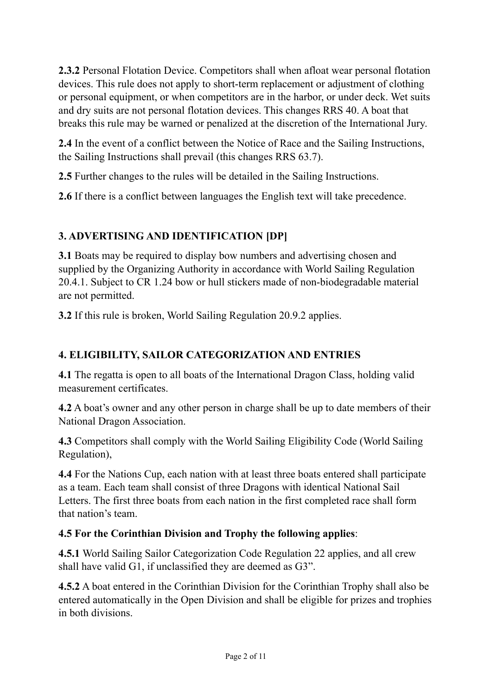**2.3.2** Personal Flotation Device. Competitors shall when afloat wear personal flotation devices. This rule does not apply to short-term replacement or adjustment of clothing or personal equipment, or when competitors are in the harbor, or under deck. Wet suits and dry suits are not personal flotation devices. This changes RRS 40. A boat that breaks this rule may be warned or penalized at the discretion of the International Jury.

**2.4** In the event of a conflict between the Notice of Race and the Sailing Instructions, the Sailing Instructions shall prevail (this changes RRS 63.7).

**2.5** Further changes to the rules will be detailed in the Sailing Instructions.

**2.6** If there is a conflict between languages the English text will take precedence.

### **3. ADVERTISING AND IDENTIFICATION [DP]**

**3.1** Boats may be required to display bow numbers and advertising chosen and supplied by the Organizing Authority in accordance with World Sailing Regulation 20.4.1. Subject to CR 1.24 bow or hull stickers made of non-biodegradable material are not permitted.

**3.2** If this rule is broken, World Sailing Regulation 20.9.2 applies.

## **4. ELIGIBILITY, SAILOR CATEGORIZATION AND ENTRIES**

**4.1** The regatta is open to all boats of the International Dragon Class, holding valid measurement certificates.

**4.2** A boat's owner and any other person in charge shall be up to date members of their National Dragon Association.

**4.3** Competitors shall comply with the World Sailing Eligibility Code (World Sailing Regulation),

**4.4** For the Nations Cup, each nation with at least three boats entered shall participate as a team. Each team shall consist of three Dragons with identical National Sail Letters. The first three boats from each nation in the first completed race shall form that nation's team.

### **4.5 For the Corinthian Division and Trophy the following applies**:

**4.5.1** World Sailing Sailor Categorization Code Regulation 22 applies, and all crew shall have valid G1, if unclassified they are deemed as G3".

**4.5.2** A boat entered in the Corinthian Division for the Corinthian Trophy shall also be entered automatically in the Open Division and shall be eligible for prizes and trophies in both divisions.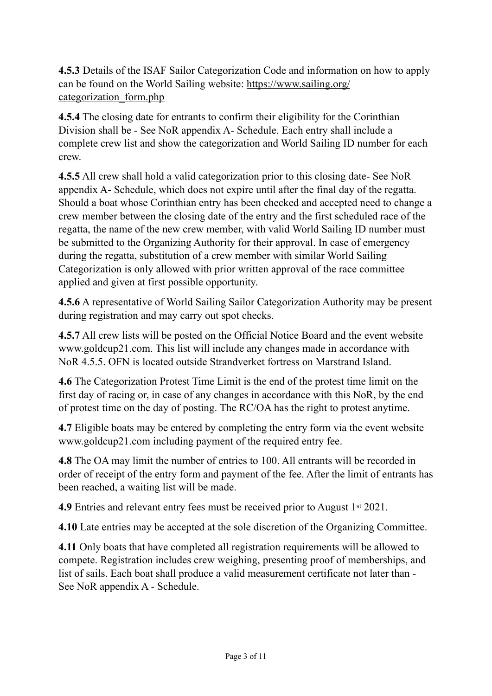**4.5.3** Details of the ISAF Sailor Categorization Code and information on how to apply can be found on the World Sailing website: https://www.sailing.org/ categorization\_form.php

**4.5.4** The closing date for entrants to confirm their eligibility for the Corinthian Division shall be - See NoR appendix A- Schedule. Each entry shall include a complete crew list and show the categorization and World Sailing ID number for each crew.

**4.5.5** All crew shall hold a valid categorization prior to this closing date- See NoR appendix A- Schedule, which does not expire until after the final day of the regatta. Should a boat whose Corinthian entry has been checked and accepted need to change a crew member between the closing date of the entry and the first scheduled race of the regatta, the name of the new crew member, with valid World Sailing ID number must be submitted to the Organizing Authority for their approval. In case of emergency during the regatta, substitution of a crew member with similar World Sailing Categorization is only allowed with prior written approval of the race committee applied and given at first possible opportunity.

**4.5.6** A representative of World Sailing Sailor Categorization Authority may be present during registration and may carry out spot checks.

**4.5.7** All crew lists will be posted on the Official Notice Board and the event website www.goldcup21.com. This list will include any changes made in accordance with NoR 4.5.5. OFN is located outside Strandverket fortress on Marstrand Island.

**4.6** The Categorization Protest Time Limit is the end of the protest time limit on the first day of racing or, in case of any changes in accordance with this NoR, by the end of protest time on the day of posting. The RC/OA has the right to protest anytime.

**4.7** Eligible boats may be entered by completing the entry form via the event website www.goldcup21.com including payment of the required entry fee.

**4.8** The OA may limit the number of entries to 100. All entrants will be recorded in order of receipt of the entry form and payment of the fee. After the limit of entrants has been reached, a waiting list will be made.

**4.9** Entries and relevant entry fees must be received prior to August 1<sup>st</sup> 2021.

**4.10** Late entries may be accepted at the sole discretion of the Organizing Committee.

**4.11** Only boats that have completed all registration requirements will be allowed to compete. Registration includes crew weighing, presenting proof of memberships, and list of sails. Each boat shall produce a valid measurement certificate not later than - See NoR appendix A - Schedule.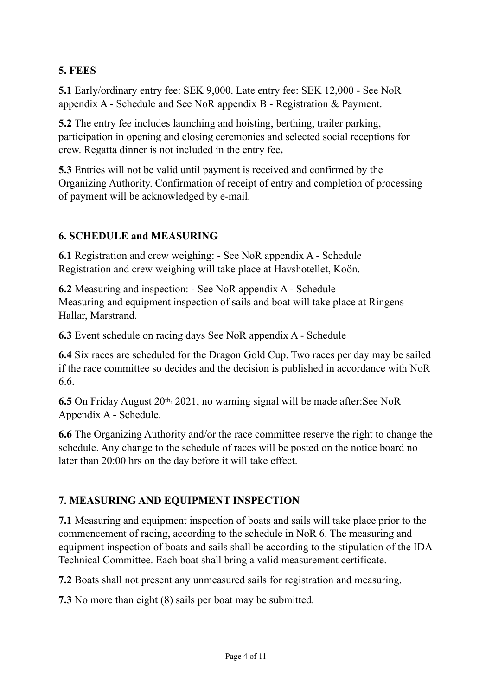### **5. FEES**

**5.1** Early/ordinary entry fee: SEK 9,000. Late entry fee: SEK 12,000 - See NoR appendix A - Schedule and See NoR appendix B - Registration & Payment.

**5.2** The entry fee includes launching and hoisting, berthing, trailer parking, participation in opening and closing ceremonies and selected social receptions for crew. Regatta dinner is not included in the entry fee**.**

**5.3** Entries will not be valid until payment is received and confirmed by the Organizing Authority. Confirmation of receipt of entry and completion of processing of payment will be acknowledged by e-mail.

#### **6. SCHEDULE and MEASURING**

**6.1** Registration and crew weighing: - See NoR appendix A - Schedule Registration and crew weighing will take place at Havshotellet, Koön.

**6.2** Measuring and inspection: - See NoR appendix A - Schedule Measuring and equipment inspection of sails and boat will take place at Ringens Hallar, Marstrand.

**6.3** Event schedule on racing days See NoR appendix A - Schedule

**6.4** Six races are scheduled for the Dragon Gold Cup. Two races per day may be sailed if the race committee so decides and the decision is published in accordance with NoR 6.6.

**6.5** On Friday August 20th, 2021, no warning signal will be made after:See NoR Appendix A - Schedule.

**6.6** The Organizing Authority and/or the race committee reserve the right to change the schedule. Any change to the schedule of races will be posted on the notice board no later than 20:00 hrs on the day before it will take effect.

#### **7. MEASURING AND EQUIPMENT INSPECTION**

**7.1** Measuring and equipment inspection of boats and sails will take place prior to the commencement of racing, according to the schedule in NoR 6. The measuring and equipment inspection of boats and sails shall be according to the stipulation of the IDA Technical Committee. Each boat shall bring a valid measurement certificate.

**7.2** Boats shall not present any unmeasured sails for registration and measuring.

**7.3** No more than eight (8) sails per boat may be submitted.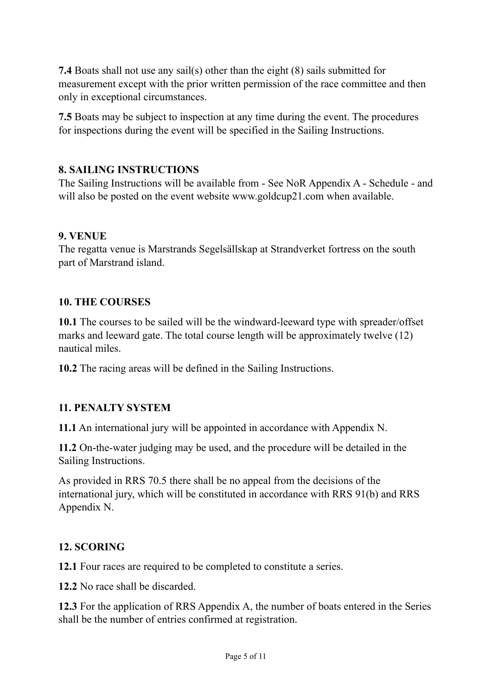**7.4** Boats shall not use any sail(s) other than the eight (8) sails submitted for measurement except with the prior written permission of the race committee and then only in exceptional circumstances.

**7.5** Boats may be subject to inspection at any time during the event. The procedures for inspections during the event will be specified in the Sailing Instructions.

### **8. SAILING INSTRUCTIONS**

The Sailing Instructions will be available from - See NoR Appendix A - Schedule - and will also be posted on the event website www.goldcup21.com when available.

#### **9. VENUE**

The regatta venue is Marstrands Segelsällskap at Strandverket fortress on the south part of Marstrand island.

#### **10. THE COURSES**

**10.1** The courses to be sailed will be the windward-leeward type with spreader/offset marks and leeward gate. The total course length will be approximately twelve (12) nautical miles.

**10.2** The racing areas will be defined in the Sailing Instructions.

#### **11. PENALTY SYSTEM**

**11.1** An international jury will be appointed in accordance with Appendix N.

**11.2** On-the-water judging may be used, and the procedure will be detailed in the Sailing Instructions.

As provided in RRS 70.5 there shall be no appeal from the decisions of the international jury, which will be constituted in accordance with RRS 91(b) and RRS Appendix N.

#### **12. SCORING**

**12.1** Four races are required to be completed to constitute a series.

**12.2** No race shall be discarded.

**12.3** For the application of RRS Appendix A, the number of boats entered in the Series shall be the number of entries confirmed at registration.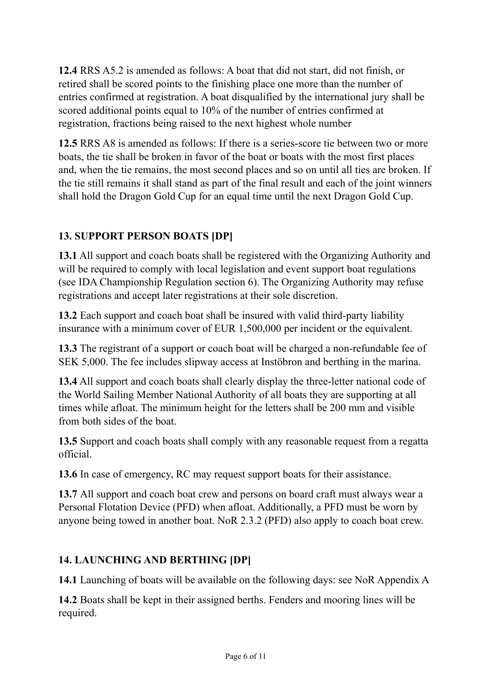**12.4** RRS A5.2 is amended as follows: A boat that did not start, did not finish, or retired shall be scored points to the finishing place one more than the number of entries confirmed at registration. A boat disqualified by the international jury shall be scored additional points equal to 10% of the number of entries confirmed at registration, fractions being raised to the next highest whole number

**12.5** RRS A8 is amended as follows: If there is a series-score tie between two or more boats, the tie shall be broken in favor of the boat or boats with the most first places and, when the tie remains, the most second places and so on until all ties are broken. If the tie still remains it shall stand as part of the final result and each of the joint winners shall hold the Dragon Gold Cup for an equal time until the next Dragon Gold Cup.

## **13. SUPPORT PERSON BOATS [DP]**

**13.1** All support and coach boats shall be registered with the Organizing Authority and will be required to comply with local legislation and event support boat regulations (see IDA Championship Regulation section 6). The Organizing Authority may refuse registrations and accept later registrations at their sole discretion.

**13.2** Each support and coach boat shall be insured with valid third-party liability insurance with a minimum cover of EUR 1,500,000 per incident or the equivalent.

**13.3** The registrant of a support or coach boat will be charged a non-refundable fee of SEK 5,000. The fee includes slipway access at Instöbron and berthing in the marina.

**13.4** All support and coach boats shall clearly display the three-letter national code of the World Sailing Member National Authority of all boats they are supporting at all times while afloat. The minimum height for the letters shall be 200 mm and visible from both sides of the boat.

**13.5** Support and coach boats shall comply with any reasonable request from a regatta official.

**13.6** In case of emergency, RC may request support boats for their assistance.

**13.7** All support and coach boat crew and persons on board craft must always wear a Personal Flotation Device (PFD) when afloat. Additionally, a PFD must be worn by anyone being towed in another boat. NoR 2.3.2 (PFD) also apply to coach boat crew.

## **14. LAUNCHING AND BERTHING [DP]**

**14.1** Launching of boats will be available on the following days: see NoR Appendix A

**14.2** Boats shall be kept in their assigned berths. Fenders and mooring lines will be required.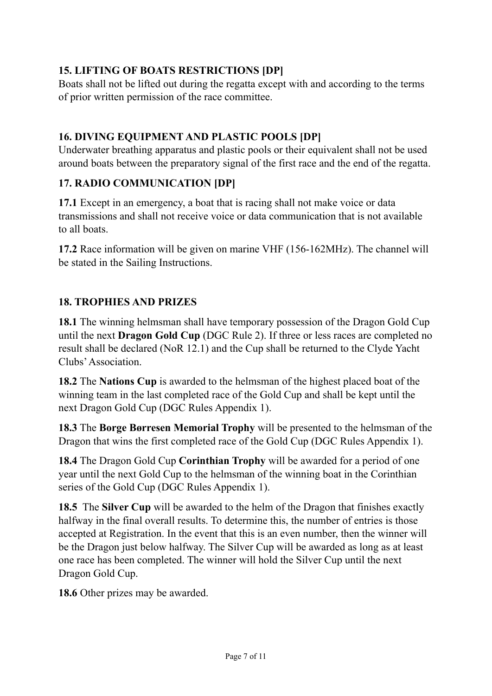### **15. LIFTING OF BOATS RESTRICTIONS [DP]**

Boats shall not be lifted out during the regatta except with and according to the terms of prior written permission of the race committee.

### **16. DIVING EQUIPMENT AND PLASTIC POOLS [DP]**

Underwater breathing apparatus and plastic pools or their equivalent shall not be used around boats between the preparatory signal of the first race and the end of the regatta.

### **17. RADIO COMMUNICATION [DP]**

**17.1** Except in an emergency, a boat that is racing shall not make voice or data transmissions and shall not receive voice or data communication that is not available to all boats.

**17.2** Race information will be given on marine VHF (156-162MHz). The channel will be stated in the Sailing Instructions.

### **18. TROPHIES AND PRIZES**

**18.1** The winning helmsman shall have temporary possession of the Dragon Gold Cup until the next **Dragon Gold Cup** (DGC Rule 2). If three or less races are completed no result shall be declared (NoR 12.1) and the Cup shall be returned to the Clyde Yacht Clubs' Association.

**18.2** The **Nations Cup** is awarded to the helmsman of the highest placed boat of the winning team in the last completed race of the Gold Cup and shall be kept until the next Dragon Gold Cup (DGC Rules Appendix 1).

**18.3** The **Borge Børresen Memorial Trophy** will be presented to the helmsman of the Dragon that wins the first completed race of the Gold Cup (DGC Rules Appendix 1).

**18.4** The Dragon Gold Cup **Corinthian Trophy** will be awarded for a period of one year until the next Gold Cup to the helmsman of the winning boat in the Corinthian series of the Gold Cup (DGC Rules Appendix 1).

**18.5** The **Silver Cup** will be awarded to the helm of the Dragon that finishes exactly halfway in the final overall results. To determine this, the number of entries is those accepted at Registration. In the event that this is an even number, then the winner will be the Dragon just below halfway. The Silver Cup will be awarded as long as at least one race has been completed. The winner will hold the Silver Cup until the next Dragon Gold Cup.

**18.6** Other prizes may be awarded.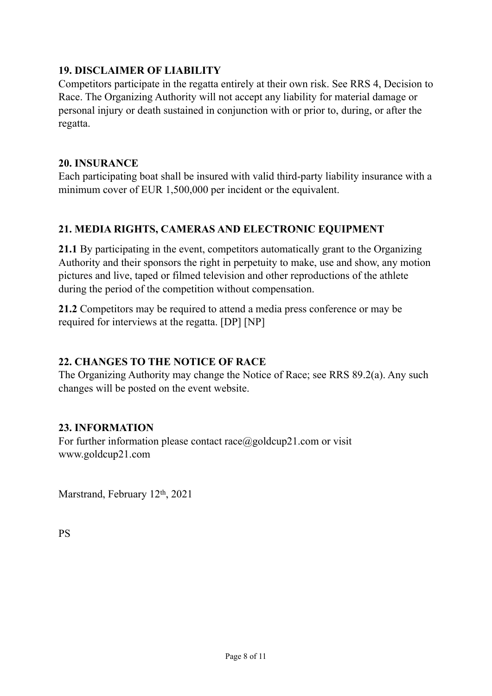#### **19. DISCLAIMER OF LIABILITY**

Competitors participate in the regatta entirely at their own risk. See RRS 4, Decision to Race. The Organizing Authority will not accept any liability for material damage or personal injury or death sustained in conjunction with or prior to, during, or after the regatta.

#### **20. INSURANCE**

Each participating boat shall be insured with valid third-party liability insurance with a minimum cover of EUR 1,500,000 per incident or the equivalent.

### **21. MEDIA RIGHTS, CAMERAS AND ELECTRONIC EQUIPMENT**

**21.1** By participating in the event, competitors automatically grant to the Organizing Authority and their sponsors the right in perpetuity to make, use and show, any motion pictures and live, taped or filmed television and other reproductions of the athlete during the period of the competition without compensation.

**21.2** Competitors may be required to attend a media press conference or may be required for interviews at the regatta. [DP] [NP]

### **22. CHANGES TO THE NOTICE OF RACE**

The Organizing Authority may change the Notice of Race; see RRS 89.2(a). Any such changes will be posted on the event website.

#### **23. INFORMATION**

For further information please contact race $(a)$ goldcup21.com or visit www.goldcup21.com

Marstrand, February 12th, 2021

PS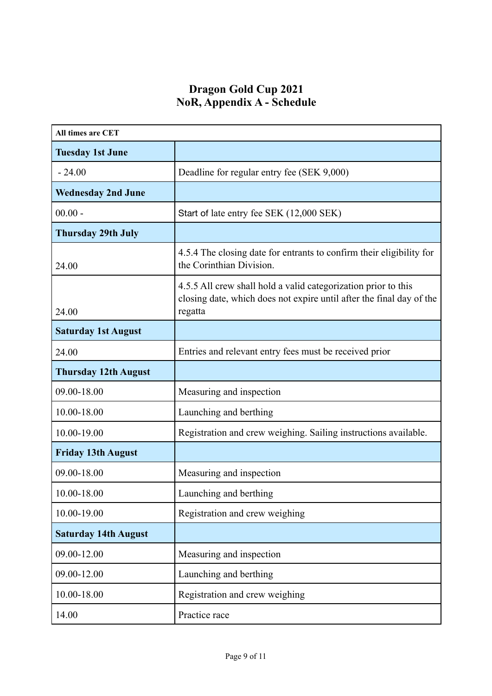### **Dragon Gold Cup 2021 NoR, Appendix A - Schedule**

| All times are CET           |                                                                                                                                                   |
|-----------------------------|---------------------------------------------------------------------------------------------------------------------------------------------------|
| <b>Tuesday 1st June</b>     |                                                                                                                                                   |
| $-24.00$                    | Deadline for regular entry fee (SEK 9,000)                                                                                                        |
| <b>Wednesday 2nd June</b>   |                                                                                                                                                   |
| $00.00 -$                   | Start of late entry fee SEK (12,000 SEK)                                                                                                          |
| <b>Thursday 29th July</b>   |                                                                                                                                                   |
| 24.00                       | 4.5.4 The closing date for entrants to confirm their eligibility for<br>the Corinthian Division.                                                  |
| 24.00                       | 4.5.5 All crew shall hold a valid categorization prior to this<br>closing date, which does not expire until after the final day of the<br>regatta |
| <b>Saturday 1st August</b>  |                                                                                                                                                   |
| 24.00                       | Entries and relevant entry fees must be received prior                                                                                            |
| <b>Thursday 12th August</b> |                                                                                                                                                   |
| 09.00-18.00                 | Measuring and inspection                                                                                                                          |
| 10.00-18.00                 | Launching and berthing                                                                                                                            |
| 10.00-19.00                 | Registration and crew weighing. Sailing instructions available.                                                                                   |
| <b>Friday 13th August</b>   |                                                                                                                                                   |
| 09.00-18.00                 | Measuring and inspection                                                                                                                          |
| 10.00-18.00                 | Launching and berthing                                                                                                                            |
| 10.00-19.00                 | Registration and crew weighing                                                                                                                    |
| <b>Saturday 14th August</b> |                                                                                                                                                   |
| 09.00-12.00                 | Measuring and inspection                                                                                                                          |
| 09.00-12.00                 | Launching and berthing                                                                                                                            |
| 10.00-18.00                 | Registration and crew weighing                                                                                                                    |
| 14.00                       | Practice race                                                                                                                                     |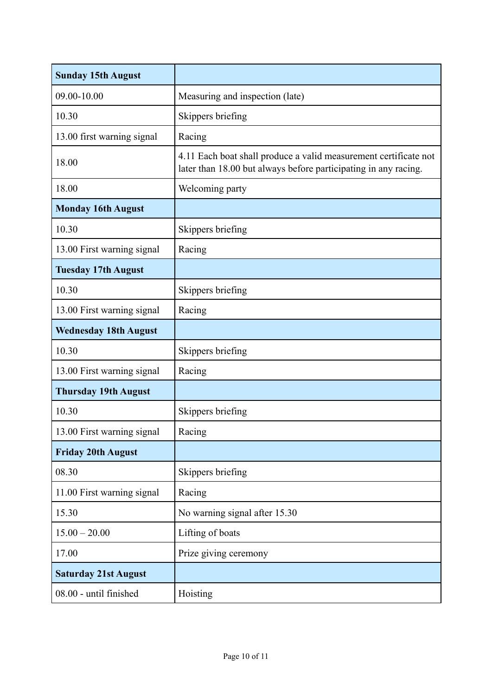| <b>Sunday 15th August</b>    |                                                                                                                                     |
|------------------------------|-------------------------------------------------------------------------------------------------------------------------------------|
| 09.00-10.00                  | Measuring and inspection (late)                                                                                                     |
| 10.30                        | Skippers briefing                                                                                                                   |
| 13.00 first warning signal   | Racing                                                                                                                              |
| 18.00                        | 4.11 Each boat shall produce a valid measurement certificate not<br>later than 18.00 but always before participating in any racing. |
| 18.00                        | Welcoming party                                                                                                                     |
| <b>Monday 16th August</b>    |                                                                                                                                     |
| 10.30                        | Skippers briefing                                                                                                                   |
| 13.00 First warning signal   | Racing                                                                                                                              |
| <b>Tuesday 17th August</b>   |                                                                                                                                     |
| 10.30                        | Skippers briefing                                                                                                                   |
| 13.00 First warning signal   | Racing                                                                                                                              |
| <b>Wednesday 18th August</b> |                                                                                                                                     |
| 10.30                        | Skippers briefing                                                                                                                   |
| 13.00 First warning signal   | Racing                                                                                                                              |
| <b>Thursday 19th August</b>  |                                                                                                                                     |
| 10.30                        | Skippers briefing                                                                                                                   |
| 13.00 First warning signal   | Racing                                                                                                                              |
| <b>Friday 20th August</b>    |                                                                                                                                     |
| 08.30                        | Skippers briefing                                                                                                                   |
| 11.00 First warning signal   | Racing                                                                                                                              |
| 15.30                        | No warning signal after 15.30                                                                                                       |
| $15.00 - 20.00$              | Lifting of boats                                                                                                                    |
| 17.00                        | Prize giving ceremony                                                                                                               |
| <b>Saturday 21st August</b>  |                                                                                                                                     |
| 08.00 - until finished       | Hoisting                                                                                                                            |